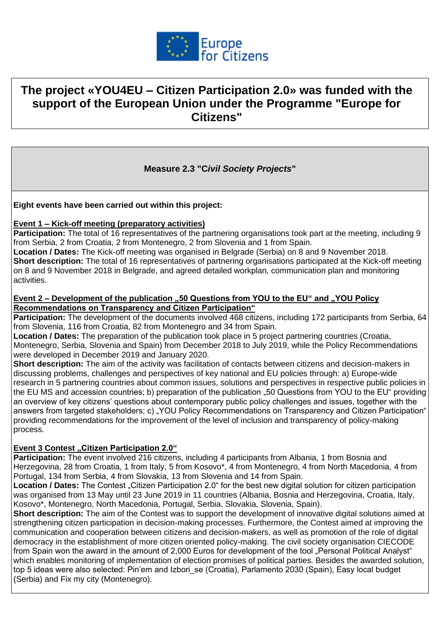

# **The project «YOU4EU – Citizen Participation 2.0» was funded with the support of the European Union under the Programme "Europe for Citizens"**

# **Measure 2.3 "C***ivil Society Projects***"**

**Eight events have been carried out within this project:**

#### **Event 1 – Kick-off meeting (preparatory activities)**

**Participation:** The total of 16 representatives of the partnering organisations took part at the meeting, including 9 from Serbia, 2 from Croatia, 2 from Montenegro, 2 from Slovenia and 1 from Spain.

**Location / Dates:** The Kick-off meeting was organised in Belgrade (Serbia) on 8 and 9 November 2018. **Short description:** The total of 16 representatives of partnering organisations participated at the Kick-off meeting on 8 and 9 November 2018 in Belgrade, and agreed detailed workplan, communication plan and monitoring activities.

#### **Event 2 – Development of the publication ..50 Questions from YOU to the EU" and ..YOU Policy Recommendations on Transparency and Citizen Participation"**

**Participation:** The development of the documents involved 468 citizens, including 172 participants from Serbia, 64 from Slovenia, 116 from Croatia, 82 from Montenegro and 34 from Spain.

**Location / Dates:** The preparation of the publication took place in 5 project partnering countries (Croatia, Montenegro, Serbia, Slovenia and Spain) from December 2018 to July 2019, while the Policy Recommendations were developed in December 2019 and January 2020.

**Short description:** The aim of the activity was facilitation of contacts between citizens and decision-makers in discussing problems, challenges and perspectives of key national and EU policies through: a) Europe-wide research in 5 partnering countries about common issues, solutions and perspectives in respective public policies in the EU MS and accession countries; b) preparation of the publication "50 Questions from YOU to the EU" providing an overview of key citizens' questions about contemporary public policy challenges and issues, together with the answers from targeted stakeholders; c) "YOU Policy Recommendations on Transparency and Citizen Participation" providing recommendations for the improvement of the level of inclusion and transparency of policy-making process.

### **Event 3 Contest "Citizen Participation 2.0"**

**Participation:** The event involved 216 citizens, including 4 participants from Albania, 1 from Bosnia and Herzegovina, 28 from Croatia, 1 from Italy, 5 from Kosovo\*, 4 from Montenegro, 4 from North Macedonia, 4 from Portugal, 134 from Serbia, 4 from Slovakia, 13 from Slovenia and 14 from Spain.

Location / Dates: The Contest "Citizen Participation 2.0" for the best new digital solution for citizen participation was organised from 13 May until 23 June 2019 in 11 countries (Albania, Bosnia and Herzegovina, Croatia, Italy, Kosovo\*, Montenegro, North Macedonia, Portugal, Serbia, Slovakia, Slovenia, Spain).

**Short description:** The aim of the Contest was to support the development of innovative digital solutions aimed at strengthening citizen participation in decision-making processes. Furthermore, the Contest aimed at improving the communication and cooperation between citizens and decision-makers, as well as promotion of the role of digital democracy in the establishment of more citizen oriented policy-making. The civil society organisation CIECODE from Spain won the award in the amount of 2,000 Euros for development of the tool "Personal Political Analyst" which enables monitoring of implementation of election promises of political parties. Besides the awarded solution, top 5 ideas were also selected: Pin'em and Izbori se (Croatia), Parlamento 2030 (Spain), Easy local budget (Serbia) and Fix my city (Montenegro).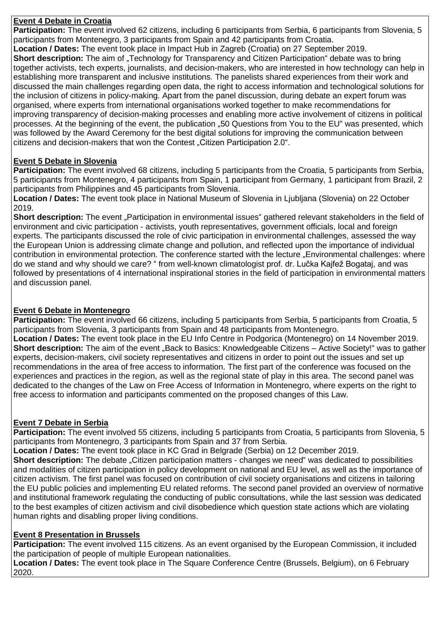## **Event 4 Debate in Croatia**

**Participation:** The event involved 62 citizens, including 6 participants from Serbia, 6 participants from Slovenia, 5 participants from Montenegro, 3 participants from Spain and 42 participants from Croatia.

**Location / Dates:** The event took place in Impact Hub in Zagreb (Croatia) on 27 September 2019. **Short description:** The aim of "Technology for Transparency and Citizen Participation" debate was to bring together activists, tech experts, journalists, and decision-makers, who are interested in how technology can help in

establishing more transparent and inclusive institutions. The panelists shared experiences from their work and discussed the main challenges regarding open data, the right to access information and technological solutions for the inclusion of citizens in policy-making. Apart from the panel discussion, during debate an expert forum was organised, where experts from international organisations worked together to make recommendations for improving transparency of decision-making processes and enabling more active involvement of citizens in political processes. At the beginning of the event, the publication "50 Questions from You to the EU" was presented, which was followed by the Award Ceremony for the best digital solutions for improving the communication between citizens and decision-makers that won the Contest . Citizen Participation 2.0".

# **Event 5 Debate in Slovenia**

Participation: The event involved 68 citizens, including 5 participants from the Croatia, 5 participants from Serbia, 5 participants from Montenegro, 4 participants from Spain, 1 participant from Germany, 1 participant from Brazil, 2 participants from Philippines and 45 participants from Slovenia.

**Location / Dates:** The event took place in National Museum of Slovenia in Ljubljana (Slovenia) on 22 October 2019.

**Short description:** The event "Participation in environmental issues" gathered relevant stakeholders in the field of environment and civic participation - activists, youth representatives, government officials, local and foreign experts. The participants discussed the role of civic participation in environmental challenges, assessed the way the European Union is addressing climate change and pollution, and reflected upon the importance of individual contribution in environmental protection. The conference started with the lecture "Environmental challenges: where do we stand and why should we care? " from well-known climatologist prof. dr. Lučka Kajfež Bogataj, and was followed by presentations of 4 international inspirational stories in the field of participation in environmental matters and discussion panel.

# **Event 6 Debate in Montenegro**

**Participation:** The event involved 66 citizens, including 5 participants from Serbia, 5 participants from Croatia, 5 participants from Slovenia, 3 participants from Spain and 48 participants from Montenegro.

**Location / Dates:** The event took place in the EU Info Centre in Podgorica (Montenegro) on 14 November 2019. **Short description:** The aim of the event ..Back to Basics: Knowledgeable Citizens – Active Society!" was to gather experts, decision-makers, civil society representatives and citizens in order to point out the issues and set up recommendations in the area of free access to information. The first part of the conference was focused on the experiences and practices in the region, as well as the regional state of play in this area. The second panel was dedicated to the changes of the Law on Free Access of Information in Montenegro, where experts on the right to free access to information and participants commented on the proposed changes of this Law.

### **Event 7 Debate in Serbia**

**Participation:** The event involved 55 citizens, including 5 participants from Croatia, 5 participants from Slovenia, 5 participants from Montenegro, 3 participants from Spain and 37 from Serbia.

**Location / Dates:** The event took place in KC Grad in Belgrade (Serbia) on 12 December 2019.

**Short description:** The debate "Citizen participation matters - changes we need" was dedicated to possibilities and modalities of citizen participation in policy development on national and EU level, as well as the importance of citizen activism. The first panel was focused on contribution of civil society organisations and citizens in tailoring the EU public policies and implementing EU related reforms. The second panel provided an overview of normative and institutional framework regulating the conducting of public consultations, while the last session was dedicated to the best examples of citizen activism and civil disobedience which question state actions which are violating human rights and disabling proper living conditions.

### **Event 8 Presentation in Brussels**

**Participation:** The event involved 115 citizens. As an event organised by the European Commission, it included the participation of people of multiple European nationalities.

**Location / Dates:** The event took place in The Square Conference Centre (Brussels, Belgium), on 6 February 2020.